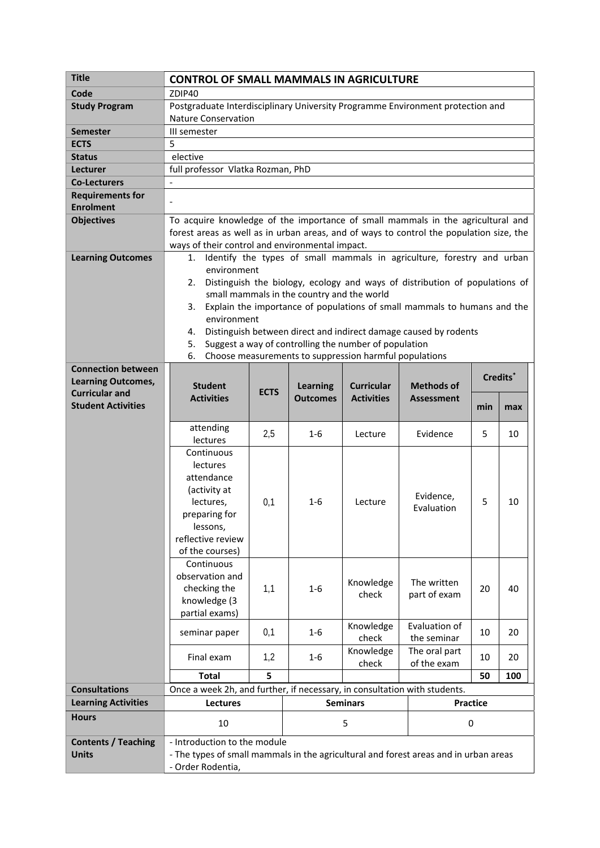| <b>Title</b>               | <b>CONTROL OF SMALL MAMMALS IN AGRICULTURE</b>                                          |                 |                 |                   |                   |     |     |  |
|----------------------------|-----------------------------------------------------------------------------------------|-----------------|-----------------|-------------------|-------------------|-----|-----|--|
| Code                       | ZDIP40                                                                                  |                 |                 |                   |                   |     |     |  |
| <b>Study Program</b>       | Postgraduate Interdisciplinary University Programme Environment protection and          |                 |                 |                   |                   |     |     |  |
|                            | <b>Nature Conservation</b>                                                              |                 |                 |                   |                   |     |     |  |
| <b>Semester</b>            | III semester                                                                            |                 |                 |                   |                   |     |     |  |
| <b>ECTS</b>                | 5                                                                                       |                 |                 |                   |                   |     |     |  |
| <b>Status</b>              | elective                                                                                |                 |                 |                   |                   |     |     |  |
| Lecturer                   | full professor Vlatka Rozman, PhD                                                       |                 |                 |                   |                   |     |     |  |
| <b>Co-Lecturers</b>        | $\qquad \qquad -$                                                                       |                 |                 |                   |                   |     |     |  |
| <b>Requirements for</b>    |                                                                                         |                 |                 |                   |                   |     |     |  |
| <b>Enrolment</b>           |                                                                                         |                 |                 |                   |                   |     |     |  |
| <b>Objectives</b>          | To acquire knowledge of the importance of small mammals in the agricultural and         |                 |                 |                   |                   |     |     |  |
|                            | forest areas as well as in urban areas, and of ways to control the population size, the |                 |                 |                   |                   |     |     |  |
|                            | ways of their control and environmental impact.                                         |                 |                 |                   |                   |     |     |  |
| <b>Learning Outcomes</b>   | Identify the types of small mammals in agriculture, forestry and urban<br>1.            |                 |                 |                   |                   |     |     |  |
|                            | environment                                                                             |                 |                 |                   |                   |     |     |  |
|                            | Distinguish the biology, ecology and ways of distribution of populations of<br>2.       |                 |                 |                   |                   |     |     |  |
|                            | small mammals in the country and the world                                              |                 |                 |                   |                   |     |     |  |
|                            | Explain the importance of populations of small mammals to humans and the<br>3.          |                 |                 |                   |                   |     |     |  |
|                            | environment<br>Distinguish between direct and indirect damage caused by rodents         |                 |                 |                   |                   |     |     |  |
|                            | 4.                                                                                      |                 |                 |                   |                   |     |     |  |
|                            | Suggest a way of controlling the number of population<br>5.<br>6.                       |                 |                 |                   |                   |     |     |  |
| <b>Connection between</b>  | Choose measurements to suppression harmful populations                                  |                 |                 |                   |                   |     |     |  |
| <b>Learning Outcomes,</b>  | Credits <sup>*</sup>                                                                    |                 |                 |                   |                   |     |     |  |
| <b>Curricular and</b>      | <b>Student</b>                                                                          | <b>ECTS</b>     | <b>Learning</b> | <b>Curricular</b> | <b>Methods of</b> |     |     |  |
| <b>Student Activities</b>  | <b>Activities</b>                                                                       |                 | <b>Outcomes</b> | <b>Activities</b> | <b>Assessment</b> | min | max |  |
|                            |                                                                                         |                 |                 |                   |                   |     |     |  |
|                            | attending                                                                               | 2,5             | $1-6$           | Lecture           | Evidence          | 5   | 10  |  |
|                            | lectures                                                                                |                 |                 |                   |                   |     |     |  |
|                            | Continuous                                                                              |                 |                 |                   |                   |     |     |  |
|                            | lectures                                                                                |                 |                 |                   |                   |     |     |  |
|                            | attendance                                                                              |                 |                 |                   |                   |     |     |  |
|                            | (activity at<br>lectures,                                                               | 0,1             | 1-6             | Lecture           | Evidence,         | 5   | 10  |  |
|                            | preparing for                                                                           |                 |                 |                   | Evaluation        |     |     |  |
|                            | lessons,                                                                                |                 |                 |                   |                   |     |     |  |
|                            | reflective review                                                                       |                 |                 |                   |                   |     |     |  |
|                            | of the courses)                                                                         |                 |                 |                   |                   |     |     |  |
|                            | Continuous                                                                              |                 |                 |                   |                   |     |     |  |
|                            | observation and                                                                         |                 |                 |                   |                   |     |     |  |
|                            | checking the                                                                            | 1,1             | $1 - 6$         | Knowledge         | The written       | 20  | 40  |  |
|                            | knowledge (3                                                                            |                 |                 | check             | part of exam      |     |     |  |
|                            | partial exams)                                                                          |                 |                 |                   |                   |     |     |  |
|                            | seminar paper                                                                           | 0,1             | $1 - 6$         | Knowledge         | Evaluation of     | 10  | 20  |  |
|                            |                                                                                         |                 |                 | check             | the seminar       |     |     |  |
|                            | Final exam                                                                              | 1,2             | $1-6$           | Knowledge         | The oral part     | 10  | 20  |  |
|                            |                                                                                         |                 |                 | check             | of the exam       |     |     |  |
|                            | <b>Total</b>                                                                            | 5               |                 |                   |                   | 50  | 100 |  |
| <b>Consultations</b>       | Once a week 2h, and further, if necessary, in consultation with students.               |                 |                 |                   |                   |     |     |  |
| <b>Learning Activities</b> | <b>Lectures</b>                                                                         | <b>Seminars</b> |                 | Practice          |                   |     |     |  |
| <b>Hours</b>               | 10                                                                                      |                 | 5               |                   |                   | 0   |     |  |
| <b>Contents / Teaching</b> | - Introduction to the module                                                            |                 |                 |                   |                   |     |     |  |
| <b>Units</b>               | - The types of small mammals in the agricultural and forest areas and in urban areas    |                 |                 |                   |                   |     |     |  |
|                            | - Order Rodentia,                                                                       |                 |                 |                   |                   |     |     |  |
|                            |                                                                                         |                 |                 |                   |                   |     |     |  |